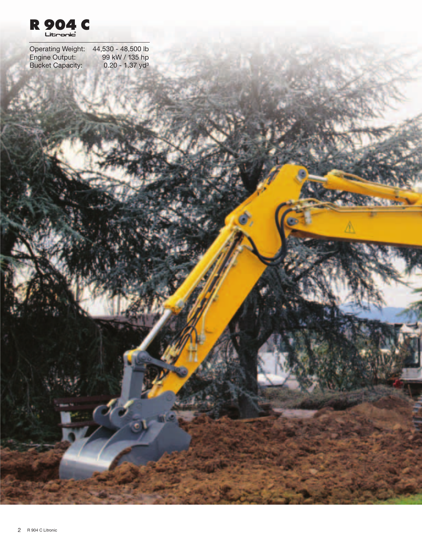

Operating Weight: 44,530 - 48,500 lb Engine Output: 99 kW / 135 hp Bucket Capacity: 0.20 - 1.37 yd<sup>3</sup>

**Killen**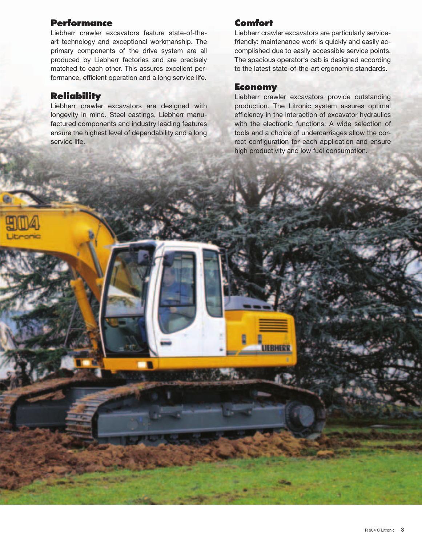### **Performance**

Liebherr crawler excavators feature state-of-theart technology and exceptional workmanship. The primary components of the drive system are all produced by Liebherr factories and are precisely matched to each other. This assures excellent performance, efficient operation and a long service life.

### **Reliability**

Liebherr crawler excavators are designed with longevity in mind. Steel castings, Liebherr manufactured components and industry leading features ensure the highest level of dependability and a long service life.

### **Comfor**

Liebherr crawler excavators are particularly servicefriendly: maintenance work is quickly and easily accomplished due to easily accessible service points. The spacious operator's cab is designed according to the latest state-of-the-art ergonomic standards.

### **Economy**

**JEBHER** 

Liebherr crawler excavators provide outstanding production. The Litronic system assures optimal efficiency in the interaction of excavator hydraulics with the electronic functions. A wide selection of tools and a choice of undercarriages allow the correct configuration for each application and ensure high productivity and low fuel consumption.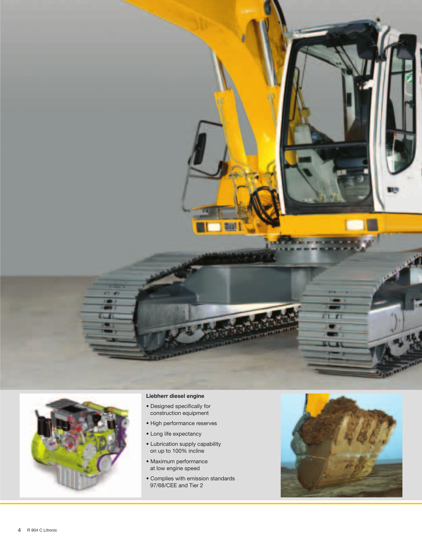



- Designed specifically for construction equipment
- High performance reserves
- Long life expectancy
- Lubrication supply capability on up to 100% incline
- Maximum performance at low engine speed
- Complies with emission standards 97/68/CEE and Tier 2

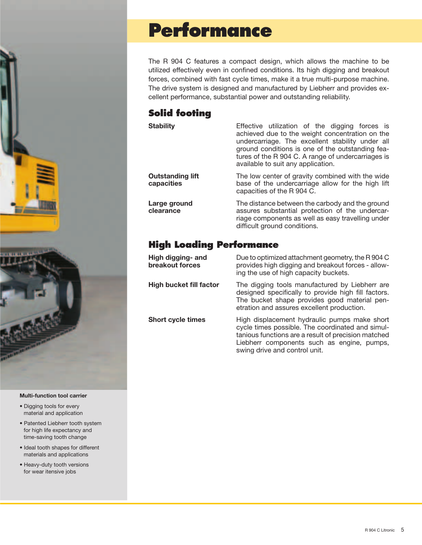

#### **Multi-function tool carrier**

- Digging tools for every material and application
- Patented Liebherr tooth system for high life expectancy and time-saving tooth change
- Ideal tooth shapes for different materials and applications
- Heavy-duty tooth versions for wear itensive jobs

### **Performance**

The R 904 C features a compact design, which allows the machine to be utilized effectively even in confined conditions. Its high digging and breakout forces, combined with fast cycle times, make it a true multi-purpose machine. The drive system is designed and manufactured by Liebherr and provides excellent performance, substantial power and outstanding reliability.

### **Solid footing**

**Outstanding lift capacities**

**Large ground clearance**

**Stability Effective** utilization of the digging forces is achieved due to the weight concentration on the undercarriage. The excellent stability under all ground conditions is one of the outstanding features of the R 904 C. A range of undercarriages is available to suit any application.

> The low center of gravity combined with the wide base of the undercarriage allow for the high lift capacities of the R 904 C.

> > The distance between the carbody and the ground assures substantial protection of the undercarriage components as well as easy travelling under difficult ground conditions.

Liebherr components such as engine, pumps,

### **High Loading Performance**

**High digging- and breakout forces** Due to optimized attachment geometry, the R 904 C provides high digging and breakout forces - allowing the use of high capacity buckets. **High bucket fill factor** The digging tools manufactured by Liebherr are designed specifically to provide high fill factors. The bucket shape provides good material penetration and assures excellent production. **Short cycle times** High displacement hydraulic pumps make short cycle times possible. The coordinated and simultanious functions are a result of precision matched

swing drive and control unit.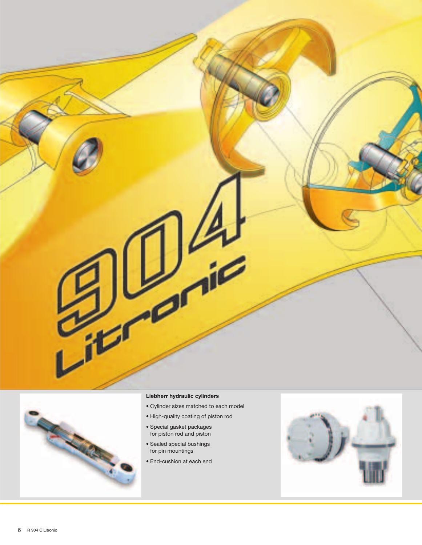



### **Liebherr hydraulic cylinders**

- Cylinder sizes matched to each model
- High-quality coating of piston rod
- Special gasket packages for piston rod and piston
- Sealed special bushings for pin mountings
- End-cushion at each end

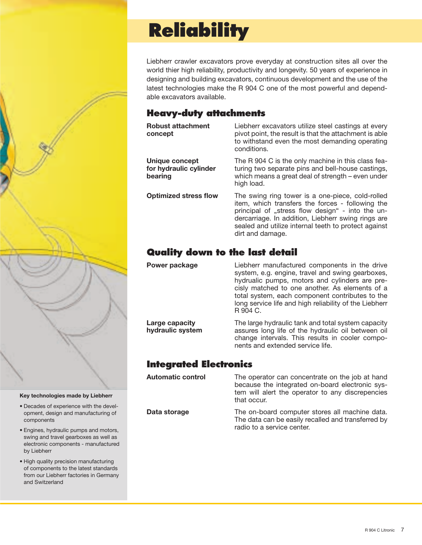

#### **Key technologies made by Liebherr**

- Decades of experience with the development, design and manufacturing of components
- Engines, hydraulic pumps and motors, swing and travel gearboxes as well as electronic components - manufactured by Liebherr
- High quality precision manufacturing of components to the latest standards from our Liebherr factories in Germany and Switzerland

### **Reliability**

Liebherr crawler excavators prove everyday at construction sites all over the world thier high reliability, productivity and longevity. 50 years of experience in designing and building excavators, continuous development and the use of the latest technologies make the R 904 C one of the most powerful and dependable excavators available.

### **Heavy-duty attachments**

| <b>Robust attachment</b><br>concept                 | Liebherr excavators utilize steel castings at every<br>pivot point, the result is that the attachment is able<br>to withstand even the most demanding operating<br>conditions.                                                                                                             |  |
|-----------------------------------------------------|--------------------------------------------------------------------------------------------------------------------------------------------------------------------------------------------------------------------------------------------------------------------------------------------|--|
| Unique concept<br>for hydraulic cylinder<br>bearing | The R 904 C is the only machine in this class fea-<br>turing two separate pins and bell-house castings,<br>which means a great deal of strength – even under<br>high load.                                                                                                                 |  |
| <b>Optimized stress flow</b>                        | The swing ring tower is a one-piece, cold-rolled<br>item, which transfers the forces - following the<br>principal of "stress flow design" - into the un-<br>dercarriage. In addition, Liebherr swing rings are<br>sealed and utilize internal teeth to protect against<br>dirt and damage. |  |

### **Quality down to the last detail**

**Power package Liebherr manufactured components in the drive** system, e.g. engine, travel and swing gearboxes, hydrualic pumps, motors and cylinders are precisly matched to one another. As elements of a total system, each component contributes to the long service life and high reliability of the Liebherr R 904 C.

> The large hydraulic tank and total system capacity assures long life of the hydraulic oil between oil change intervals. This results in cooler components and extended service life.

### **Integrated Electronics**

**Large capacity hydraulic system**

**Automatic control** The operator can concentrate on the job at hand because the integrated on-board electronic system will alert the operator to any discrepencies that occur.

**Data storage** The on-board computer stores all machine data. The data can be easily recalled and transferred by radio to a service center.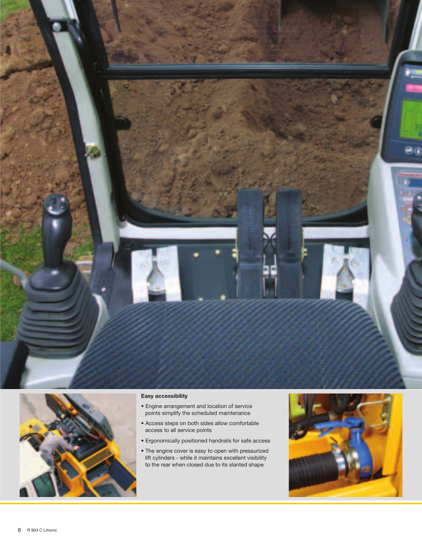



#### **Easy accessibility**

- Engine arrangement and location of service points simplify the scheduled maintenance
- Access steps on both sides allow comfortable access to all service points
- Ergonomically positioned handrails for safe access
- The engine cover is easy to open with pressurized lift cylinders - while it maintains excellent visibility to the rear when closed due to its slanted shape

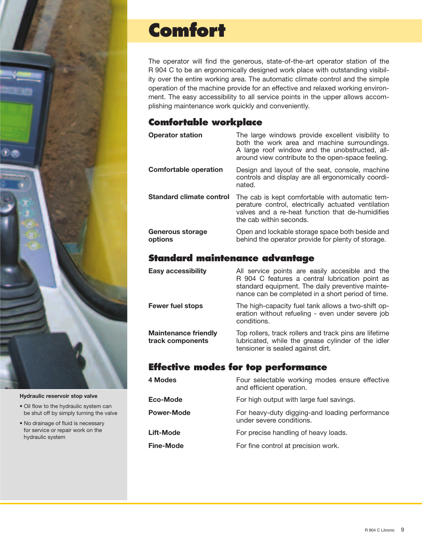

#### **Hydraulic reservoir stop valve**

- Oil flow to the hydraulic system can be shut off by simply turning the valve
- No drainage of fluid is necessary for service or repair work on the hydraulic system

### **Comfort**

The operator will find the generous, state-of-the-art operator station of the R 904 C to be an ergonomically designed work place with outstanding visibility over the entire working area. The automatic climate control and the simple operation of the machine provide for an effective and relaxed working environment. The easy accessibility to all service points in the upper allows accomplishing maintenance work quickly and conveniently.

### **Comfortable workplace**

| <b>Operator station</b>      | The large windows provide excellent visibility to<br>both the work area and machine surroundings.<br>A large roof window and the unobstructed, all-<br>around view contribute to the open-space feeling. |
|------------------------------|----------------------------------------------------------------------------------------------------------------------------------------------------------------------------------------------------------|
| <b>Comfortable operation</b> | Design and layout of the seat, console, machine<br>controls and display are all ergonomically coordi-<br>nated.                                                                                          |
| Standard climate control     | The cab is kept comfortable with automatic tem-<br>perature control, electrically actuated ventilation<br>valves and a re-heat function that de-humidifies<br>the cab within seconds.                    |
| Generous storage<br>options  | Open and lockable storage space both beside and<br>behind the operator provide for plenty of storage.                                                                                                    |

### **Standard maintenance advantage**

| <b>Easy accessibility</b>                       | All service points are easily accesible and the<br>R 904 C features a central lubrication point as<br>standard equipment. The daily preventive mainte-<br>nance can be completed in a short period of time. |  |
|-------------------------------------------------|-------------------------------------------------------------------------------------------------------------------------------------------------------------------------------------------------------------|--|
| <b>Fewer fuel stops</b>                         | The high-capacity fuel tank allows a two-shift op-<br>eration without refueling - even under severe job<br>conditions.                                                                                      |  |
| <b>Maintenance friendly</b><br>track components | Top rollers, track rollers and track pins are lifetime<br>lubricated, while the grease cylinder of the idler<br>tensioner is sealed against dirt.                                                           |  |

### **Effective modes for top performance**

| 4 Modes           | Four selectable working modes ensure effective<br>and efficient operation. |  |  |
|-------------------|----------------------------------------------------------------------------|--|--|
| Eco-Mode          | For high output with large fuel savings.                                   |  |  |
| <b>Power-Mode</b> | For heavy-duty digging-and loading performance<br>under severe conditions. |  |  |
| Lift-Mode         | For precise handling of heavy loads.                                       |  |  |
| Fine-Mode         | For fine control at precision work.                                        |  |  |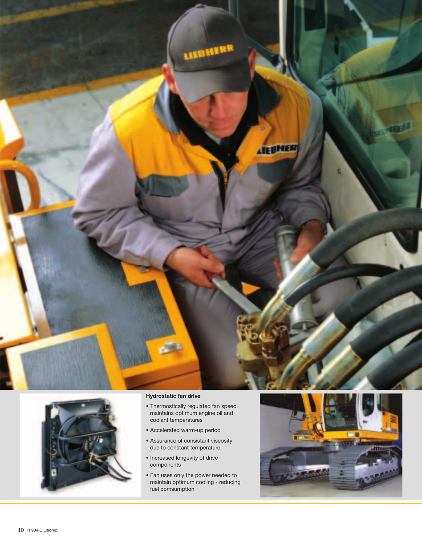



#### **Hydrostatic fan drive**

- Thermostically regulated fan speed maintains optimum engine oil and coolant temperatures
- Accelerated warm-up period
- Assurance of consistant viscosity due to constant temperature
- Increased longevity of drive components
- Fan uses only the power needed to maintain optimum cooling - reducing fuel comsumption

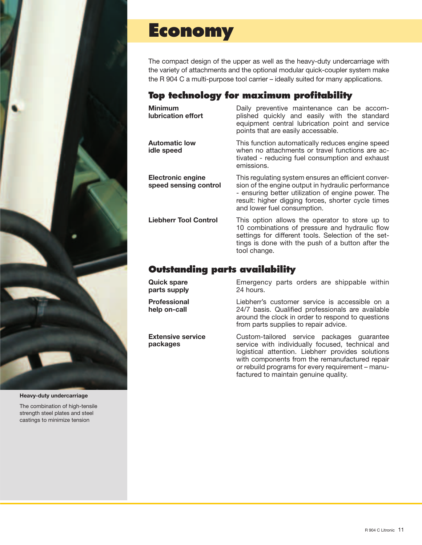

**Heavy-duty undercarriage**

The combination of high-tensile strength steel plates and steel castings to minimize tension

### **Economy**

The compact design of the upper as well as the heavy-duty undercarriage with the variety of attachments and the optional modular quick-coupler system make the R 904 C a multi-purpose tool carrier – ideally suited for many applications.

### **Top technology for maximum profitability**

**Minimum lubrication effort**

**Automatic low idle speed**

**Electronic engine speed sensing control**

**Quick spare parts supply**

**Professional help on-call**

**packages**

**Extensive service** 

Daily preventive maintenance can be accomplished quickly and easily with the standard equipment central lubrication point and service points that are easily accessable.

This function automatically reduces engine speed when no attachments or travel functions are activated - reducing fuel consumption and exhaust emissions.

This regulating system ensures an efficient conversion of the engine output in hydraulic performance - ensuring better utilization of engine power. The result: higher digging forces, shorter cycle times and lower fuel consumption.

**Liebherr Tool Control** This option allows the operator to store up to 10 combinations of pressure and hydraulic flow settings for different tools. Selection of the settings is done with the push of a button after the tool change.

### **Outstanding parts availability**

Emergency parts orders are shippable within 24 hours.

Liebherr's customer service is accessible on a 24/7 basis. Qualified professionals are available around the clock in order to respond to questions from parts supplies to repair advice.

Custom-tailored service packages guarantee service with individually focused, technical and logistical attention. Liebherr provides solutions with components from the remanufactured repair or rebuild programs for every requirement – manufactured to maintain genuine quality.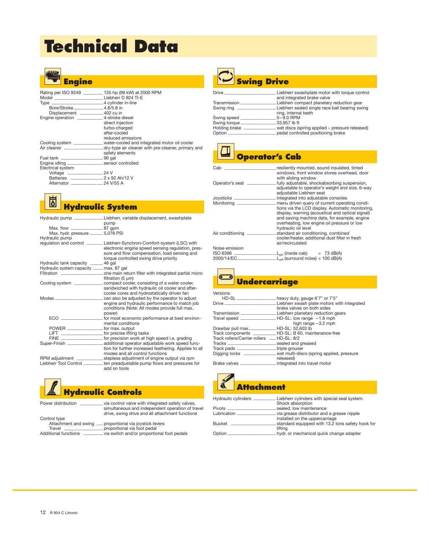## **Technical Data**



|                                                  | Rating per ISO 9249 __________ 135 hp (99 kW) at 2000 RPM<br>Model __________________________________Liebherr D 924 TI-E |
|--------------------------------------------------|--------------------------------------------------------------------------------------------------------------------------|
|                                                  |                                                                                                                          |
| Bore/Stroke __________________ 4.8/5.8 in        |                                                                                                                          |
| Displacement ____________ 402 cu in              |                                                                                                                          |
|                                                  |                                                                                                                          |
| Engine operation ________________4-stroke diesel |                                                                                                                          |
|                                                  | direct injection                                                                                                         |
|                                                  | turbo-charged                                                                                                            |
|                                                  | after-cooled                                                                                                             |
|                                                  | reduced emissions                                                                                                        |
|                                                  | Cooling system ______________ water-cooled and integrated motor oil cooler                                               |
|                                                  | Air cleaner _________________________dry-type air cleaner with pre-cleaner, primary and                                  |
|                                                  | safety elements                                                                                                          |
|                                                  |                                                                                                                          |
|                                                  |                                                                                                                          |
| Electrical system                                |                                                                                                                          |
|                                                  |                                                                                                                          |
|                                                  |                                                                                                                          |
|                                                  |                                                                                                                          |

#### ⊠ **Hydraulic System**

|                                           | Hydraulic pump _______________Liebherr, variable displacement, swashplate<br>pump                                                                                                                                          |
|-------------------------------------------|----------------------------------------------------------------------------------------------------------------------------------------------------------------------------------------------------------------------------|
| Max. flow ________________________87 gpm  |                                                                                                                                                                                                                            |
| Max. hydr. pressure ________ 5,076 PSI    |                                                                                                                                                                                                                            |
| Hydraulic pump                            |                                                                                                                                                                                                                            |
|                                           | regulation and control ________ Liebherr-Synchron-Comfort-system (LSC) with<br>electronic engine speed sensing regulation, pres-<br>sure and flow compensation, load sensing and<br>torque controlled swing drive priority |
| Hydraulic tank capacity _______ 46 gal    |                                                                                                                                                                                                                            |
| Hydraulic system capacity ___ max. 87 gal |                                                                                                                                                                                                                            |
|                                           | Filtration ___________________________________one main return filter with integrated partial micro<br>filtration (5 µm)                                                                                                    |
|                                           | Cooling system _________________ compact cooler, consisting of a water cooler,<br>sandwiched with hydraulic oil cooler and after-<br>cooler cores and hydrostatically driven fan                                           |
| $\n  Models\n  ________\n  ________$      | can also be adjusted by the operator to adjust<br>engine and hydraulic performance to match job<br>conditions (Note: All modes provide full max.<br>power)                                                                 |
|                                           | mental conditions                                                                                                                                                                                                          |
|                                           |                                                                                                                                                                                                                            |
|                                           | _ for precise lifting tasks                                                                                                                                                                                                |
|                                           |                                                                                                                                                                                                                            |
|                                           |                                                                                                                                                                                                                            |
|                                           | tion for further increased feathering. Applies to all<br>modes and all control functions                                                                                                                                   |
|                                           | RPM adjustment ________________ stepless adjustment of engine output via rpm                                                                                                                                               |
|                                           | Liebherr Tool Control _________ ten preadjustable pump flows and pressures for<br>add on tools                                                                                                                             |



| Power distribution          | via control valve with integrated safety valves,<br>simultaneous and independent operation of travel<br>drive, swing drive and all attachment functions |
|-----------------------------|---------------------------------------------------------------------------------------------------------------------------------------------------------|
| Control type                |                                                                                                                                                         |
|                             | Attachment and swing <sub>__</sub> proportional via joystick levers                                                                                     |
| Travel                      | _proportional via foot pedal                                                                                                                            |
| <b>Additional functions</b> | via switch and/or proportional foot pedals                                                                                                              |



### **Swing Drive**

| <b>Drive</b>   | Liebherr swashplate motor with torque control  |
|----------------|------------------------------------------------|
|                | and integrated brake valve                     |
| Transmission   | Liebherr compact planetary reduction gear      |
| Swing ring     | Liebherr sealed single race ball bearing swing |
|                | ring, internal teeth                           |
| Swing speed _  | $0 - 9.0$ RPM                                  |
| Swing torque_  | 33.957 lb ft                                   |
| Holding brake  | wet discs (spring applied - pressure released) |
| Option _______ | pedal controlled positioning brake             |
|                |                                                |

### **Operator's Cab**

| Cab                   | resiliently mounted, sound insulated, tinted<br>windows, front window stores overhead, door                                                                                                                                                                       |
|-----------------------|-------------------------------------------------------------------------------------------------------------------------------------------------------------------------------------------------------------------------------------------------------------------|
| Operator's seat _____ | with sliding window<br>fully adjustable, shockabsorbing suspension,<br>adjustable to operator's weight and size, 6-way                                                                                                                                            |
| Joysticks ______      | adjustable Liebherr seat<br>integrated into adjustable consoles                                                                                                                                                                                                   |
| Monitoring __         | menu driven query of current operating condi-                                                                                                                                                                                                                     |
| Air conditioning _    | tions via the LCD display. Automatic monitoring,<br>display, warning (acoustical and optical signal)<br>and saving machine data, for example, engine<br>overheating, low engine oil pressure or low<br>hydraulic oil level<br>standard air conditioning, combined |
|                       | cooler/heater, additional dust filter in fresh<br>air/recirculated                                                                                                                                                                                                |
| Noise emission        |                                                                                                                                                                                                                                                                   |
| ISO 6396              | $-L_{DA}$ (inside cab) = 73 dB(A)                                                                                                                                                                                                                                 |
| 2000/14/EC__          | $L_{w4}$ (surround noise) = 100 dB(A)                                                                                                                                                                                                                             |



### Versions<br>
HD-SL \_ HD-SL \_\_\_\_\_\_\_\_\_\_\_\_\_\_\_\_\_\_\_\_\_heavy duty, gauge 6'7" or 7'5"<br>Drive \_\_\_\_\_\_\_\_\_\_\_\_\_\_\_\_\_\_\_\_\_\_\_\_\_\_\_Liebherr swash plate motors with integrated<br>Transmission \_\_\_\_\_\_\_\_\_\_\_\_\_\_\_\_\_\_\_\_\_\_Liebherr planetary reduction gears Travel speed **\_\_\_\_\_\_\_\_\_\_\_\_\_\_\_\_\_\_\_\_\_\_** HD-SL: low range – 1.6 mph high range – 3.2 mph Drawbar pull max. **\_\_\_\_\_\_\_\_\_\_\_\_\_\_\_\_** HD-SL: 52,603 lb Track components **\_\_\_\_\_\_\_\_\_\_\_\_\_\_** HD-SL: B 60, maintenance-free Track rollers/Carrier rollers **\_\_\_\_** HD-SL: 8/2 Tracks **\_\_\_\_\_\_\_\_\_\_\_\_\_\_\_\_\_\_\_\_\_\_\_\_\_\_\_\_\_\_** sealed and greased Track pads \_\_\_\_\_\_\_\_\_\_\_\_\_\_\_\_\_\_\_\_triple grouser<br>Digging locks \_\_\_\_\_\_\_\_\_\_\_\_\_\_\_\_\_ wet multi-disc \_ wet multi-discs (spring applied, pressure released) Brake valves **\_\_\_\_\_\_\_\_\_\_\_\_\_\_\_\_\_\_\_\_\_\_** integrated into travel motor



| Hydraulic cylinders _________ | Liebherr cylinders with special seal system.<br>Shock absorption |
|-------------------------------|------------------------------------------------------------------|
| Pivots _______                | sealed, low maintenance                                          |
| Lubrication _                 | via grease distributor and a grease nipple                       |
|                               | installed on the uppercarriage                                   |
| Bucket                        | standard equipped with 13.2 tons safety hook for<br>lifting      |
| Option _                      | hydr, or mechanical quick change adapter                         |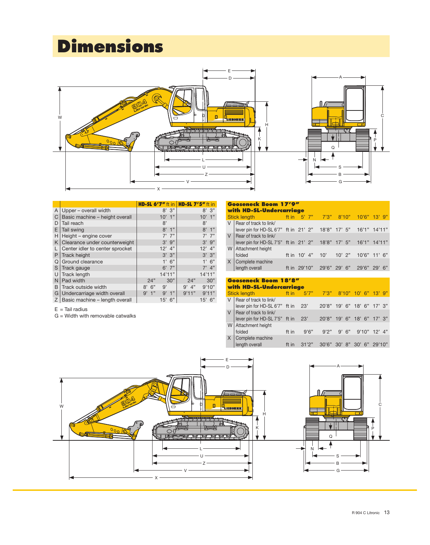## **Dimensions**



|   |                                 | <b>HD-SL 6'7"</b> ft in |            | <b>HD-SL 7'5" ft in</b> |           |
|---|---------------------------------|-------------------------|------------|-------------------------|-----------|
| A | Upper – overall width           |                         | 8'<br>3"   |                         | 3"<br>8'  |
| C | Basic machine - height overall  |                         | 1"<br>10'  |                         | 1"<br>10' |
| D | Tail reach                      |                         | 8'         |                         | 8'        |
| E | Tail swing                      |                         | 8'<br>1"   |                         | 1"<br>8'  |
| Н | Height - engine cover           |                         | $7'$ $7''$ |                         | $7'$ 7"   |
| K | Clearance under counterweight   |                         | 9"<br>3'   |                         | 9"<br>3'  |
|   | Center idler to center sprocket |                         | 4"<br>12'  |                         | 4"<br>12' |
| P | Track height                    |                         | 3'3''      |                         | 3'3''     |
| Q | Ground clearance                |                         | 1'<br>6"   |                         | 1'6''     |
| S | Track gauge                     |                         | $6'$ 7"    |                         | 4"<br>7'  |
| U | <b>Track length</b>             |                         | 14'11"     |                         | 14'11"    |
| N | Pad width                       | 24"                     | 30"        | 24"                     | 30"       |
| B | Track outside width             | 6"<br>8'                | 9'         | $9'$ 4"                 | 9'10"     |
| G | Undercarriage width overall     | 1"<br>9'                | 9'<br>1"   | 9'11"                   | 9'11"     |
| Z | Basic machine - length overall  |                         | 6"<br>15'  |                         | $15'$ 6"  |

|  | $E =$ Tail radius |
|--|-------------------|
|  |                   |

G = Width with removable catwalks

|        | <b>Gooseneck Boom 17'9"</b><br>with HD-SL-Undercarriage                                       |  |  |  |  |  |  |                                      |       |  |  |  |  |
|--------|-----------------------------------------------------------------------------------------------|--|--|--|--|--|--|--------------------------------------|-------|--|--|--|--|
|        | Stick length ft in 5' 7" 7'3" 8'10" 10'6" 13' 9"                                              |  |  |  |  |  |  |                                      |       |  |  |  |  |
|        |                                                                                               |  |  |  |  |  |  |                                      |       |  |  |  |  |
| $\vee$ | Rear of track to link/<br>lever pin for HD-SL 6'7" ft in 21' 2" 18'8" 17' 5" 16'1" 14'11"     |  |  |  |  |  |  |                                      |       |  |  |  |  |
|        | V   Rear of track to link/<br>lever pin for HD-SL 7'5" ft in 21' 2" 18'8" 17' 5" 16'1" 14'11" |  |  |  |  |  |  |                                      |       |  |  |  |  |
|        | W   Attachment height<br>folded                                                               |  |  |  |  |  |  | ft in 10' 4" 10' 10' 2" 10'6" 11' 6" |       |  |  |  |  |
|        | Complete machine<br>length overall                                                            |  |  |  |  |  |  | ft in 29'10" 29'6" 29' 6" 29'6"      | - 29' |  |  |  |  |

|        | <b>Gooseneck Boom 18'8"</b><br>with HD-SL-Undercarriage     |       |        |                                   |     |    |     |    |        |  |  |  |  |  |
|--------|-------------------------------------------------------------|-------|--------|-----------------------------------|-----|----|-----|----|--------|--|--|--|--|--|
|        | Stick length                                                | ft in | 5'7''  | 7'3" 8'10" 10' 6" 13' 9"          |     |    |     |    |        |  |  |  |  |  |
| V      | Rear of track to link<br>lever pin for HD-SL 6'7" ft in 23' |       |        | 20'8" 19' 6" 18' 6" 17' 3"        |     |    |     |    |        |  |  |  |  |  |
| $\vee$ | Rear of track to link<br>lever pin for HD-SL 7'5" ft in 23' |       |        | 20'8" 19' 6" 18' 6" 17' 3"        |     |    |     |    |        |  |  |  |  |  |
|        | W   Attachment height<br>folded                             | ft in | 9'6''  | $9'2''$ $9'6''$ $9'10''$ $12'4''$ |     |    |     |    |        |  |  |  |  |  |
| X      | Complete machine<br>length overall                          | ft in | 31'2'' | 30'6"                             | 30' | 8" | 30' | 6" | 29'10" |  |  |  |  |  |

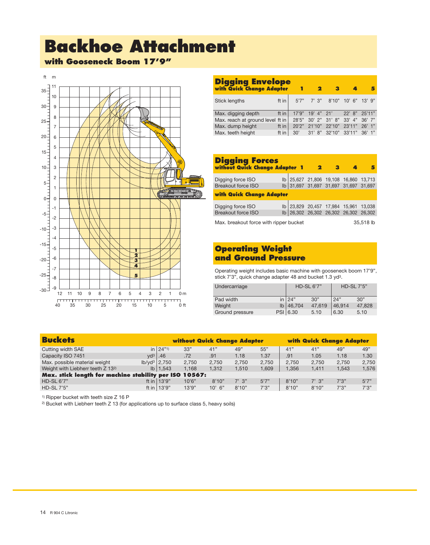# **Backhoe Attachment**

**with Gooseneck Boom 17'9"**



| <b>Digging Envelope</b><br>with Quick Change Adapter |       | 1     | 2              |                      |                                |          |
|------------------------------------------------------|-------|-------|----------------|----------------------|--------------------------------|----------|
| <b>Stick lengths</b>                                 | ft in |       |                |                      | 5'7" 7' 3" 8'10" 10' 6" 13' 9" |          |
| Max. digging depth                                   | ft in | 17'9" | $19'$ 4" $21'$ |                      | $22'$ $8"$                     | 25'11"   |
| Max. reach at ground level ft in                     |       | 28'5" |                |                      | 30' 2" 31' 8" 33' 4" 36' 7"    |          |
| Max. dump height                                     | ft in | 20'2" | 21'10"         | 22'10" 23'11"        |                                | $26'$ 1" |
| Max. teeth height                                    | ft in | 30'   |                | 31' 8" 32'10" 33'11" |                                | 36'1"    |

| <b>Digging Forces</b><br>without Quick Change Adapter 1 |  |  | 2 |  |                                                                                |  |  |  |  |  |  |
|---------------------------------------------------------|--|--|---|--|--------------------------------------------------------------------------------|--|--|--|--|--|--|
|                                                         |  |  |   |  |                                                                                |  |  |  |  |  |  |
| Digging force ISO                                       |  |  |   |  | lb 25,627 21,806 19,108 16,860 13,713                                          |  |  |  |  |  |  |
| Breakout force ISO                                      |  |  |   |  | lb 31,697 31,697 31,697 31,697 31,697                                          |  |  |  |  |  |  |
| <b>with Quick Change Adapter</b>                        |  |  |   |  |                                                                                |  |  |  |  |  |  |
| Digging force ISO                                       |  |  |   |  | lb 23,829 20,457 17,984 15,961 13,038<br>lb 26,302 26,302 26,302 26,302 26,302 |  |  |  |  |  |  |
| <b>Breakout force ISO</b>                               |  |  |   |  |                                                                                |  |  |  |  |  |  |
| Max. breakout force with ripper bucket<br>35,518 lb     |  |  |   |  |                                                                                |  |  |  |  |  |  |

### **Operating Weight and Ground Pressure**

Operating weight includes basic machine with gooseneck boom 17'9", stick 7'3", quick change adapter 48 and bucket 1.3 yd3.

| Undercarriage   | <b>HD-SL 6'7"</b> |        | <b>HD-SL 7'5"</b> |        |  |
|-----------------|-------------------|--------|-------------------|--------|--|
| Pad width       | in $ 24"$         | 30"    | 24"               | 30"    |  |
| Weight          | $Ib$ 46,704       | 47.619 | 46.914            | 47.828 |  |
| Ground pressure | PSI 6.30          | 5.10   | 6.30              | 5.10   |  |

|     |                                                                                                                                                         |          |                                                        | with Quick Change Adapter |                                     |       |       |       |
|-----|---------------------------------------------------------------------------------------------------------------------------------------------------------|----------|--------------------------------------------------------|---------------------------|-------------------------------------|-------|-------|-------|
|     | 33"                                                                                                                                                     | 41"      | 49"                                                    | 55"                       | 41"                                 | 41"   | 49"   | 49"   |
| .46 | .72                                                                                                                                                     | .91      | 1.18                                                   | 1.37                      | .91                                 | 1.05  | 1.18  | 1.30  |
|     | 2.750                                                                                                                                                   | 2.750    | 2.750                                                  | 2.750                     | 2.750                               | 2.750 | 2.750 | 2,750 |
|     | 1.168                                                                                                                                                   | 1.312    | 1.510                                                  | 1.609                     | 1.356                               | 1.411 | 1.543 | 1.576 |
|     |                                                                                                                                                         |          |                                                        |                           |                                     |       |       |       |
|     | 10'6"                                                                                                                                                   | 8'10"    | $7'$ 3"                                                | 5'7''                     | 8'10"                               | 7'3'' | 7'3'' | 5'7'' |
|     | 13'9"                                                                                                                                                   | $10'$ 6" | 8'10"                                                  | 7'3''                     | 8'10"                               | 8'10" | 7'3'' | 7'3'' |
|     | $\ln  24"1\rangle$<br>$\mathsf{v} \mathsf{d}^3 \mathsf{l}$<br>$lb$ /yd <sup>3</sup>   2,750<br>$I\vert b \vert 1,543$<br>ft in $13'9"$<br>ft in $13'9"$ |          | Max. stick length for machine stability per ISO 10567: |                           | <b>without Quick Change Adapter</b> |       |       |       |

1) Ripper bucket with teeth size Z 16 P

2) Bucket with Liebherr teeth Z 13 (for applications up to surface class 5, heavy soils)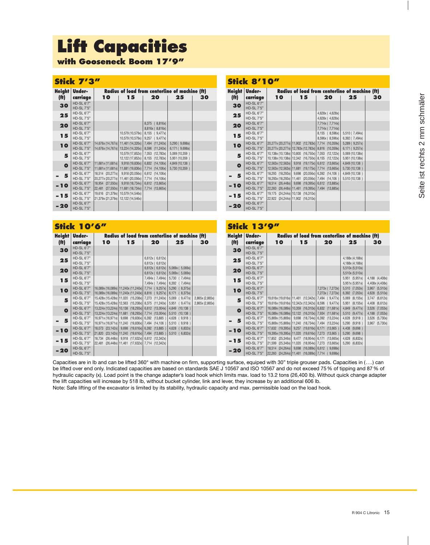# **Lift Capacities**

**with Gooseneck Boom 17'9"**

### **Stick 7'3"**

| <b>Height</b><br>(f <sub>t</sub> ) | Under-<br>carriage                     | 10                                                      | 15                                   | Radius of load from centerline of machine (ft)<br>20 | 25                               | 30 |
|------------------------------------|----------------------------------------|---------------------------------------------------------|--------------------------------------|------------------------------------------------------|----------------------------------|----|
| 30                                 | <b>HD-SL 6'7"</b><br><b>HD-SL 7'5"</b> |                                                         |                                      |                                                      |                                  |    |
| 25                                 | HD-SL 6'7"<br><b>HD-SL 7'5"</b>        |                                                         |                                      |                                                      |                                  |    |
| 20                                 | HD-SL 6'7"<br><b>HD-SL 7'5"</b>        |                                                         |                                      | 8,375<br>(8,816x)<br>8,816x (8,816x)                 |                                  |    |
| 15                                 | <b>HD-SL 6'7"</b><br><b>HD-SL 7'5"</b> |                                                         | 10,579 (10,579x)<br>10,579 (10,579x) | 8,155<br>(9,477x)<br>9,257<br>(9,477x)               |                                  |    |
| <b>10</b>                          | HD-SL 6'7"<br><b>HD-SL 7'5"</b>        | 14,676x (14,767x)<br>14,676x (14,767x)                  | 11,461 (14,326x)<br>13,224 (14,326x) | 7,494<br>(11,240x)<br>8,596<br>(11,240x)             | 5,290 (9,698x)<br>6,171 (9,698x) |    |
| 5                                  | HD-SL 6'7"<br>HD-SL 7'5"               |                                                         | 10,579 (17,852x)<br>12,122 (17,852x) | 7,053<br>(12,783x)<br>8,155<br>(12,783x)             | 5,069 (10,359)<br>5,951 (10,359) |    |
| $\bullet$                          | HD-SL 6'7"<br><b>HD-SL 7'5"</b>        | 11,681x (11,681x)<br>11,681x (11,681x) 11,681 (19,836x) | 9,918 (19,836x)                      | 6,832<br>(14, 106x)<br>7,714<br>(14, 106x)           | 4,849 (10,138)<br>5,730 (10,359  |    |
| 5                                  | HD-SL 6'7"<br><b>HD-SL 7'5"</b>        | 18,514 (20,277x)<br>20,277x (20,277x)                   | 9,918 (20,056x)<br>11,461 (20,056x)  | 6,612<br>(14, 106x)<br>7,714<br>(14, 106x)           |                                  |    |
| - 10                               | <b>HD-SL 6'7"</b><br><b>HD-SL 7'5"</b> | 18,954 (27,550x)<br>22,481 (27,550x)                    | 9,918 (18,734x)<br>11,681 (18,734x)  | 6,612<br>(13,665x)<br>7,714<br>(13,665x)             |                                  |    |
| - 15                               | HD-SL 6'7"<br><b>HD-SL 7'5"</b>        | 19,616 (21,379x)<br>21,379x (21,379x)                   | 10,579 (14,546x)<br>12,122 (14,546x) |                                                      |                                  |    |
| $-20$                              | <b>HD-SL 6'7"</b><br><b>HD-SL 7'5"</b> |                                                         |                                      |                                                      |                                  |    |

|                                    | ICK O                                  |                                                       |                                                                                                 |                                                      |                                    |    |
|------------------------------------|----------------------------------------|-------------------------------------------------------|-------------------------------------------------------------------------------------------------|------------------------------------------------------|------------------------------------|----|
| <b>Height</b><br>(f <sup>H</sup> ) | Under-<br>carriage                     | 10                                                    | 15                                                                                              | Radius of load from centerline of machine (ft)<br>20 | 25                                 | 30 |
| 30                                 | HD-SL 6'7"<br><b>HD-SL 7'5"</b>        |                                                       |                                                                                                 |                                                      |                                    |    |
| 25                                 | HD-SL 6'7"<br>HD-SL 7'5"               |                                                       |                                                                                                 | 4,628x (4,628x)<br>4,628x (4,628x)                   |                                    |    |
| 20                                 | <b>HD-SL 6'7"</b><br><b>HD-SL 7'5"</b> |                                                       |                                                                                                 | 7,714x (7,714x)<br>7,714x (7,714x)                   |                                    |    |
| 15                                 | <b>HD-SL 6'7"</b><br>HD-SL 7'5"        |                                                       |                                                                                                 | 8,155 (8,596x)<br>8,596x (8,596x)                    | 5,510 (7,494x)<br>6,392 (7,494x)   |    |
| <b>10</b>                          | <b>HD-SL 6'7"</b><br><b>HD-SL 7'5"</b> |                                                       | 20,277x (20,277x) 11,902 (12,783x) 7,714 (10,359x)<br>20,277x (20,277x) 12,783x (12,783x) 8,816 | (10,359x)                                            | 5,289 (9,257x)<br>6,171 (9,257x)   |    |
| 5                                  | HD-SL 6'7"<br>HD-SL 7'5"               |                                                       | 10,138x (10,138x) 10,800 (16,750x) 7,053 (12,122x)<br>10,138x (10,138x) 12,342 (16,750x) 8,155  | (12, 122x)                                           | 5,069 (10,138x)<br>5,951 (10,138x) |    |
| $\bullet$                          | HD-SL 6'7"<br><b>HD-SL 7'5"</b>        | 12,563x (12,563x)   9,918<br>12,563x (12,563x) 11,681 | $(19, 175x)$ 6,612<br>$(19, 175x)$ 7,714                                                        | (13,665x)<br>(13,665x)                               | 4,849 (10,138)<br>5,730 (10,138)   |    |
| 5                                  | HD-SL 6'7"<br><b>HD-SL 7'5"</b>        | 18,293 (18,293x) 9,698<br>18,293x (18,293x) 11,461    | $(20,056x)$ 6,392<br>$(20,056x)$ 7,494                                                          | (14, 106)<br>(14, 106)                               | 4,849 (10,138)<br>5,510 (10,138)   |    |
| - 10                               | <b>HD-SL 6'7"</b><br><b>HD-SL 7'5"</b> | 18,514 (26,448x) 9,698<br>22,260 (26,448x) 11,461     | $(19,395x)$ 7,494                                                                               | $(19,395x)$ 6.612 $(13,885x)$<br>(13,885x)           |                                    |    |
| - 15                               | HD-SL 6'7"<br><b>HD-SL 7'5"</b>        | 19,175 (24,244x) 10,138<br>22,922 (24,244x) 11,902    | (16,310x)<br>(16,310x)                                                                          |                                                      |                                    |    |
| - 20                               | HD-SL 6'7"<br><b>HD-SL 7'5"</b>        |                                                       |                                                                                                 |                                                      |                                    |    |

**Stick 8'10 All** 

|                   | <b>Stick 10'6"</b>                     |    |    |                                                                                                                                                      |                                                                        |                                    |                   | <b>Stick 13'9"</b>                     |                                                                                                                                                                                           |    |                                                                                                                   |                                    |                                   |
|-------------------|----------------------------------------|----|----|------------------------------------------------------------------------------------------------------------------------------------------------------|------------------------------------------------------------------------|------------------------------------|-------------------|----------------------------------------|-------------------------------------------------------------------------------------------------------------------------------------------------------------------------------------------|----|-------------------------------------------------------------------------------------------------------------------|------------------------------------|-----------------------------------|
| <b>Height</b>     | Under-                                 |    |    | Radius of load from centerline of machine (ft)                                                                                                       |                                                                        |                                    |                   | <b>Height Under-</b>                   |                                                                                                                                                                                           |    | Radius of load from centerline of machine (ft)                                                                    |                                    |                                   |
| (f <sub>f</sub> ) | carriage                               | 10 | 15 | 20                                                                                                                                                   | 25                                                                     | 30                                 | (f <sup>†</sup> ) | carriage                               | 10                                                                                                                                                                                        | 15 | 20                                                                                                                | 25                                 | 30                                |
| 30                | HD-SL 6'7"<br><b>HD-SL 7'5"</b>        |    |    |                                                                                                                                                      |                                                                        |                                    | 30                | HD-SL 6'7"<br><b>HD-SL 7'5"</b>        |                                                                                                                                                                                           |    |                                                                                                                   |                                    |                                   |
| 25                | <b>HD-SL 6'7"</b><br><b>HD-SL 7'5"</b> |    |    | 6,612x (6,612x)<br>6,612x (6,612x)                                                                                                                   |                                                                        |                                    | 25                | <b>HD-SL 6'7"</b><br>HD-SL 7'5"        |                                                                                                                                                                                           |    |                                                                                                                   | 4,188x (4,188x)<br>4,188x (4,188x) |                                   |
| 20                | HD-SL 6'7"<br><b>HD-SL 7'5"</b>        |    |    |                                                                                                                                                      | 6,612x (6,612x)   5,069x (5,069x)<br>6,612x (6,612x)   5,069x (5,069x) |                                    | 20                | HD-SL 6'7"<br><b>HD-SL 7'5"</b>        |                                                                                                                                                                                           |    |                                                                                                                   | 5,510x (5,510x)<br>5,510x (5,510x) |                                   |
| 15                | HD-SL 6'7"<br>HD-SL 7'5"               |    |    |                                                                                                                                                      | 7,494x (7,494x) 5,730 (7,494x)<br>7,494x (7,494x) 6,392 (7,494x)       |                                    | 15                | HD-SL 6'7"<br>HD-SL 7'5"               |                                                                                                                                                                                           |    |                                                                                                                   | 5,951 (5,951x)<br>5,951x (5,951x)  | 4,188 (4,408x)<br>4,408x (4,408x) |
| 10                | HD-SL 6'7"<br><b>HD-SL 7'5"</b>        |    |    | 16,089x (16,089x)   11,240x (11,240x)   7,714 (9,257x)   5,290 (8,375x)<br>16,089x (16,089x)   11,240x (11,240x)   8,816 ( 9,257x)   6,171 ( 8,375x) |                                                                        |                                    | <b>10</b>         | HD-SL 6'7"<br>HD-SL 7'5"               |                                                                                                                                                                                           |    | 7,273x (7,273x)<br>7,273x (7,273x)                                                                                | 5,510 (7,053x)<br>6,392 (7,053x)   | 3,967 (5,510x)<br>4,628 (5,510x)  |
| 5                 | HD-SL 6'7"<br><b>HD-SL 7'5"</b>        |    |    | 15,428x (15,428x) 11,020 (15,208x) 7,273 (11,240x) 5,069 (9,477x)<br>15,428x (15,428x) 12,563 (15,208x) 8,375 (11,240x) 5,951 (9,477x)               |                                                                        | 2,865x (2,865x)<br>2,865x (2,865x) | 5                 | HD-SL 6'7"<br><b>HD-SL 7'5"</b>        |                                                                                                                                                                                           |    | 19,616x (19,616x) 11,461 (12,342x) 7,494 (9,477x)<br>19,616x (19,616x) 12,342x (12,342x) 8,596 (9,477x)           | 5,069 (8,155x)<br>5,951 (8,155x)   | 3,747 (6,612x)<br>4,408 (6,612x)  |
| $\bullet$         | <b>HD-SL 6'7"</b><br><b>HD-SL 7'5"</b> |    |    | 13,224x (13,224x) 10,138 (18,293x) 6,612 (13,004x) 4,849 (10,138)<br>13,224x (13,224x)   11,681 (18,293x)   7,714 (13,004x)   5,510 (10,138)         |                                                                        |                                    | $\bullet$         | HD-SL 6'7"<br>HD-SL 7'5"               | 16,089x (16,089x) 10,359 (16,310x) 6,832 (11,681x)                                                                                                                                        |    | 16,089x (16,089x)   12,122 (16,310x)   7,934 (11,681x)                                                            | 4,849 (9,477x)<br>5,510 (9,477x)   | 3,526 (7,053x)<br>4,188 (7,053x)  |
|                   | HD-SL 6'7"<br><b>HD-SL 7'5"</b>        |    |    | 16,971x (16,971x)   9,698 (19,836x)   6,392 (13,885)   4,628 ( 9,918)<br>16,971x (16,971x) 11,240 (19,836x) 7,494 (14,106) 5,510 (9,918)             |                                                                        |                                    | 5<br>$\equiv$     | <b>HD-SL 6'7"</b><br><b>HD-SL 7'5"</b> |                                                                                                                                                                                           |    | 15,869x (15,869x)   9,698 (18,734x)   6,392 (13,224x)  <br>15,869x (15,869x)   11,240 (18,734x)   7,494 (13,224x) | 4,628 (9,918)<br>5,290 (9,918)     | 3,526 (5,730x)<br>3,967 (5,730x)  |
| - 10              | HD-SL 6'7"<br><b>HD-SL 7'5"</b>        |    |    | 18,073 (23,142x) 9,698 (19,616x) 6,392 (13,885) 4,628 (6,832x)<br>21,820 (23,142x) 11,240 (19,616x) 7,494 (13,885) 5,510 (6,832x)                    |                                                                        |                                    | -10               | HD-SL 6'7"<br>HD-SL 7'5"               | $\begin{vmatrix} 17,632 & (19,395x) & 9,257 & (19,616x) & 6,171 & (13,665) \end{vmatrix}$                                                                                                 |    | 19,395x (19,395x) 11,020 (19,616x) 7,273 (13,665)                                                                 | 4,408 (9,698)<br>5,290 (9,698)     |                                   |
| $-15$             | HD-SL 6'7"<br>HD-SL 7'5"               |    |    | 18,734 (26,448x) 9,918 (17,632x) 6,612 (12,342x)<br>22,481 (26,448x) 11,461 (17,632x) 7,714 (12,342x)                                                |                                                                        |                                    | $-15$             | HD-SL 6'7"<br>HD-SL 7'5"               | $\begin{vmatrix} 17,852 & (25,346x) & 9,477 & (18,954x) & 6,171 & (13,665x) \end{vmatrix}$<br>$\begin{bmatrix} 21,599 & (25,346x) & 11,020 & (18,954x) & 7,273 & (13,665x) \end{bmatrix}$ |    |                                                                                                                   | 4,628 (6,832x)<br>5,290 (6,832x)   |                                   |
| $-20$             | HD-SL 6'7"<br>HD-SL 7'5"               |    |    |                                                                                                                                                      |                                                                        |                                    | $-20$             | HD-SL 6'7"<br><b>HD-SL 7'5"</b>        | $ 18,514$ (24,264x) 9,698 (16,089x) 6,612 (9,698x)<br>$\left  \frac{22,260}{24,264x} \right $ 11,461 (16,089x) 7,714 (9,698x)                                                             |    |                                                                                                                   |                                    |                                   |

Capacities are in lb and can be lifted 360° with machine on firm, supporting surface, equiped with 30" triple grouser pads. Capacities in (...) can be lifted over end only. Indicated capacities are based on standards SAE J 10567 and ISO 10567 and do not exceed 75 % of tipping and 87 % of hydraulic capacity (x). Load point is the change adapter's load hook which limits max. load to 13.2 tons (26,400 lb). Without quick change adapter the lift capacities will increase by 518 lb, without bucket cylinder, link and lever, they increase by an additional 606 lb.

Note: Safe lifting of the excavator is limited by its stability, hydraulic capacity and max. permissible load on the load hook.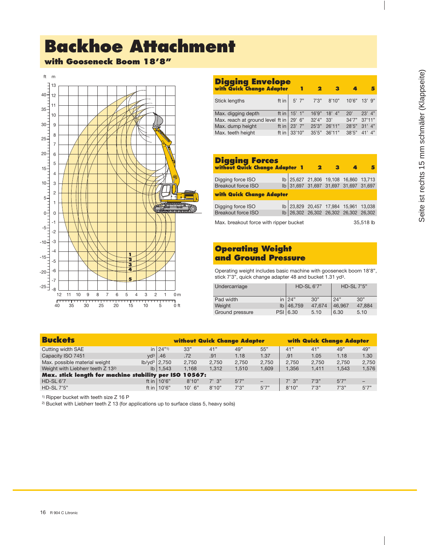# **Backhoe Attachment**

### **with Gooseneck Boom 18'8"**



| <b>Digging Envelope</b><br>with Quick Change Adapter |                      |          |                          |          |        |              | 5          |
|------------------------------------------------------|----------------------|----------|--------------------------|----------|--------|--------------|------------|
| <b>Stick lengths</b>                                 |                      |          | ft in   5' 7" 7'3" 8'10" |          |        | 10'6" 13' 9" |            |
| Max. digging depth                                   | ft in $\vert$ 15' 1" |          | 16'9"                    | $18'$ 4" | 20'    |              | $23'$ 4"   |
| Max. reach at ground level ft in                     |                      | $29'$ 6" | 32'4"                    | 33'      | 34'7'' |              | 37'11"     |
| Max. dump height                                     | ft in                | $23'$ 7" | 25'3"                    | 26'11"   | 28'5"  |              | $31'$ 4"   |
| Max. teeth height                                    | ft in $ $            | 33'10"   | 35'5"                    | 36'11"   | 38'5"  |              | $41'$ $4"$ |

| <b>Digging Forces</b><br>without Quick Change Adapter 1                                                                   |                                                                                                 |  | 2 | з |                                       |  |  |  |  |  |  |  |
|---------------------------------------------------------------------------------------------------------------------------|-------------------------------------------------------------------------------------------------|--|---|---|---------------------------------------|--|--|--|--|--|--|--|
| Digging force ISO                                                                                                         |                                                                                                 |  |   |   | lb 25,627 21,806 19,108 16,860 13,713 |  |  |  |  |  |  |  |
|                                                                                                                           | lb 31,697 31,697 31,697 31,697 31,697<br><b>Breakout force ISO</b><br>with Quick Change Adapter |  |   |   |                                       |  |  |  |  |  |  |  |
| lb 23,829 20,457 17,984 15,961 13,038<br>lb 26,302 26,302 26,302 26,302 26,302<br>Digging force ISO<br>Breakout force ISO |                                                                                                 |  |   |   |                                       |  |  |  |  |  |  |  |
| Max. breakout force with ripper bucket<br>35,518 lb                                                                       |                                                                                                 |  |   |   |                                       |  |  |  |  |  |  |  |

### **Operating Weight and Ground Pressure**

Operating weight includes basic machine with gooseneck boom 18'8", stick 7'3", quick change adapter 48 and bucket 1.31 yd3.

| Undercarriage   | <b>HD-SL 6'7"</b> |        | <b>HD-SL 7'5"</b> |        |  |
|-----------------|-------------------|--------|-------------------|--------|--|
| Pad width       | in $ 24"$         | 30"    | 24"               | 30"    |  |
| Weight          | $lb$ 46,759       | 47.674 | 46.967            | 47.884 |  |
| Ground pressure | PSI 6.30          | 5.10   | 6.30              | 5.10   |  |

| <b>Buckets</b>                                         |                        | <b>without Quick Change Adapter</b> |         |       |                          |            |       | <b>with Quick Change Adapter</b> |       |  |
|--------------------------------------------------------|------------------------|-------------------------------------|---------|-------|--------------------------|------------|-------|----------------------------------|-------|--|
| Cutting width SAE                                      | $\ln  24"1\rangle$     | 33"                                 | 41"     | 49"   | 55"                      | 41"        | 41"   | 49"                              | 49"   |  |
| Capacity ISO 7451                                      | $vd^3$<br>.46          | .72                                 | .91     | 1.18  | 1.37                     | .91        | 1.05  | 1.18                             | 1.30  |  |
| Max. possible material weight                          | $lb/vd^3$ 2.750        | 2.750                               | 2.750   | 2.750 | 2.750                    | 2.750      | 2.750 | 2.750                            | 2.750 |  |
| Weight with Liebherr teeth Z 132)                      | $I\vert b \vert 1,543$ | 1.168                               | 1.312   | 1.510 | 1.609                    | 1.356      | 1,411 | 1,543                            | 1,576 |  |
| Max. stick length for machine stability per ISO 10567: |                        |                                     |         |       |                          |            |       |                                  |       |  |
| $HD-SL 6'7$                                            | ft in $10'6"$          | 8'10"                               | $7'$ 3" | 5'7'' | $\overline{\phantom{0}}$ | $7'$ $3''$ | 7'3'' | 5'7''                            |       |  |
| <b>HD-SL7'5"</b>                                       | ft in $10'6"$          | $10'$ 6"                            | 8'10"   | 7'3'' | 5'7''                    | 8'10"      | 7'3'' | 7'3''                            | 5'7'' |  |

1) Ripper bucket with teeth size Z 16 P

2) Bucket with Liebherr teeth Z 13 (for applications up to surface class 5, heavy soils)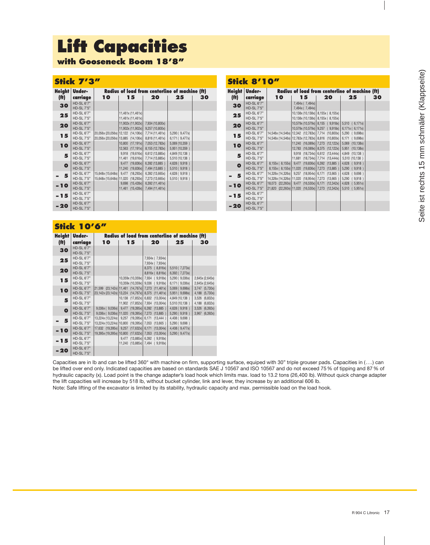# **Lift Capacities**

**with Gooseneck Boom 18'8"**

### **Stick 7'3"**

| <b>Height</b><br>(f <sup>t</sup> ) | Under-<br>carriage                     | 10                                            | Radius of load from centerline of machine (ft)<br>15 | 20                                 | 25                               | 30 |
|------------------------------------|----------------------------------------|-----------------------------------------------|------------------------------------------------------|------------------------------------|----------------------------------|----|
| 30                                 | <b>HD-SL 6'7"</b><br><b>HD-SL 7'5"</b> |                                               |                                                      |                                    |                                  |    |
| 25                                 | <b>HD-SL 6'7"</b><br><b>HD-SL 7'5"</b> |                                               | 11,461x (11,461x)<br>11,461x (11,461x)               |                                    |                                  |    |
| 20                                 | HD-SL 6'7"<br><b>HD-SL 7'5"</b>        |                                               | 11,902x (11,902x)<br>11,902x (11,902x)               | 7,934 (10,800x)<br>9,257 (10,800x) |                                  |    |
| 15                                 | <b>HD-SL 6'7"</b><br><b>HD-SL 7'5"</b> | 20,056x (20,056x) 13,885                      | 20,056x (20,056x) 12,122 (14,106x)<br>(14, 106x)     | 7,714 (11,461x)<br>8,816 (11,461x) | 5,290 (9,477x)<br>6,171 (9,477x) |    |
| <b>10</b>                          | HD-SL 6'7"<br><b>HD-SL 7'5"</b>        |                                               | (17, 191x)<br>10,800<br>(17, 191x)<br>12,563         | 7,053 (12,783x)<br>8,155 (12,783x) | 5,069 (10,359)<br>5,951 (10,359) |    |
| 5                                  | HD-SL 6'7"<br><b>HD-SL 7'5"</b>        |                                               | 9,918<br>(19,616x)<br>11,461<br>(19,616x)            | 6,612 (13,885x)<br>7,714 (13,885x) | 4,849 (10,138)<br>5,510 (10,138) |    |
| $\bullet$                          | HD-SL 6'7"<br><b>HD-SL 7'5"</b>        |                                               | (19,836x)<br>9,477<br>(19,836x)<br>11,240            | 6,392 (13,885)<br>7,494 (13,885)   | 4,628 (9,918)<br>5,510 (9,918)   |    |
| 5                                  | HD-SL 6'7"<br><b>HD-SL 7'5"</b>        | 15,648x (15,648x)<br>15,648x (15,648x) 11,020 | 9,477<br>(18,293x)<br>(18,293x)                      | 6,392 (13,665x)<br>7,273 (13,665x) | 4,628 (9,918)<br>5,510 (9,918)   |    |
| - 10                               | <b>HD-SL 6'7"</b><br><b>HD-SL 7'5"</b> |                                               | (15, 428x)<br>9,698<br>11,461<br>(15, 428x)          | 6,392 (11,461x)<br>7,494 (11,461x) |                                  |    |
| - 15                               | HD-SL 6'7"<br><b>HD-SL 7'5"</b>        |                                               |                                                      |                                    |                                  |    |
| - 20                               | <b>HD-SL 6'7"</b><br><b>HD-SL 7'5"</b> |                                               |                                                      |                                    |                                  |    |

### **Stick 10'6"**

| <b>Height</b>     | Under-                          |                                                     |                                                                                    | Radius of load from centerline of machine (ft) |                                  |                                          |
|-------------------|---------------------------------|-----------------------------------------------------|------------------------------------------------------------------------------------|------------------------------------------------|----------------------------------|------------------------------------------|
| (f <sup>t</sup> ) | carriage                        | 10                                                  | 15                                                                                 | 20                                             | 25                               | 30                                       |
| 30                | HD-SL 6'7"<br><b>HD-SL 7'5"</b> |                                                     |                                                                                    |                                                |                                  |                                          |
| 25                | HD-SL 6'7"<br>HD-SL 7'5"        |                                                     |                                                                                    | 7,934x (7,934x)<br>7,934x (7,934x)             |                                  |                                          |
| 20                | HD-SL 6'7"<br><b>HD-SL 7'5"</b> |                                                     |                                                                                    | 8,375 (8,816x)<br>8,816x (8,816x)              | 5,510 (7,273x)<br>6,392 (7,273x) |                                          |
| 15                | HD-SL 6'7"<br><b>HD-SL 7'5"</b> |                                                     | 10,359x (10,359x)<br>10,359x (10,359x) 9,036                                       | 7,934<br>(9,918x)<br>(9,918x)                  | 5,290 (9,036x)<br>6,171 (9,036x) | 2,645x (2,645x)<br>2,645x (2,645x)       |
| 10                | HD-SL 6'7"<br><b>HD-SL 7'5"</b> | 21,599                                              | $(23, 142x)$ 11,461 $(14, 767x)$ 7,273<br>23,142x (23,142x) 13,224 (14,767x) 8,375 | (11, 461x)<br>(11, 461x)                       | 5,069 (9,698x)<br>5,951 (9,698x) | 3,747<br>(5,730x)<br>4,188<br>(5,730x)   |
| 5                 | HD-SL 6'7"<br><b>HD-SL 7'5"</b> |                                                     | $(17,852x)$ 6,832<br>10,138<br>$(17,852x)$ 7,934<br>11,902                         | (13,004x)<br>(13,004x)                         | 4,849 (10,138)<br>5,510 (10,138) | 3,526<br>(6,832x)<br>4,188<br>(6,832x)   |
| $\bullet$         | HD-SL 6'7"<br><b>HD-SL 7'5"</b> | 9,036x (9,036x)<br>9,036x (9,036x) 11,020           | 9,477<br>$(19,395x)$ 6,392<br>$(19,395x)$ 7,273                                    | (13,885)<br>(13,885)                           | 4,628 (9,918)<br>5,290 (9,918)   | 3,526<br>(6, 392x)<br>(6, 392x)<br>3,967 |
| 5                 | HD-SL 6'7"<br><b>HD-SL 7'5"</b> | 13,224x (13,224x) 9,257<br>13,224x (13,224x) 10,800 | $(19,395x)$ 6,171<br>$(19,395x)$ 7,053                                             | (13, 444)<br>(13,665)                          | 4,408 (9,698)<br>5,290 (9,698)   |                                          |
| - 10              | HD-SL 6'7"<br><b>HD-SL 7'5"</b> | 17,632 (19,395x) 9,257<br>19,395x (19,395x) 10,800  | $(17,632x)$ 6,171<br>$(17,632x)$ 7,053                                             | (13,004x)<br>(13,004x)                         | 4,408 (9,477x)<br>5,290 (9,477x) |                                          |
| - 15              | HD-SL 6'7"<br><b>HD-SL 7'5"</b> |                                                     | 9,477<br>$(13,885x)$ 6,392<br>$(13,885x)$ 7,494<br>11,240                          | (9,918x)<br>(9,918x)                           |                                  |                                          |
| - 20              | HD-SL 6'7"<br><b>HD-SL 7'5"</b> |                                                     |                                                                                    |                                                |                                  |                                          |

Capacities are in lb and can be lifted 360° with machine on firm, supporting surface, equiped with 30" triple grouser pads. Capacities in (...) can be lifted over end only. Indicated capacities are based on standards SAE J 10567 and ISO 10567 and do not exceed 75 % of tipping and 87 % of hydraulic capacity (x). Load point is the change adapter's load hook which limits max. load to 13.2 tons (26,400 lb). Without quick change adapter the lift capacities will increase by 518 lb, without bucket cylinder, link and lever, they increase by an additional 606 lb.

Note: Safe lifting of the excavator is limited by its stability, hydraulic capacity and max. permissible load on the load hook.

### **Stick 8'10"**

| <b>Height</b>     | Under-            |                           | Radius of load from centerline of machine (ft)      |                                     |                     |    |
|-------------------|-------------------|---------------------------|-----------------------------------------------------|-------------------------------------|---------------------|----|
| (f <sup>†</sup> ) | carriage          | 10                        | 15                                                  | 20                                  | 25                  | 30 |
| 30                | <b>HD-SL 6'7"</b> |                           | 7,494x (7,494x)                                     |                                     |                     |    |
|                   | <b>HD-SL 7'5"</b> |                           | 7,494x (7,494x)                                     |                                     |                     |    |
| 25                | <b>HD-SL 6'7"</b> |                           |                                                     | 10,138x (10,138x) 8,155x (8,155x)   |                     |    |
|                   | <b>HD-SL 7'5"</b> |                           |                                                     | 10,138x (10,138x) 8,155x (8,155x)   |                     |    |
| 20                | <b>HD-SL 6'7"</b> |                           |                                                     | 10,579x (10,579x) 8,155 (9,918x)    | 5,510 (6,171x)      |    |
|                   | <b>HD-SL 7'5"</b> |                           |                                                     | 10,579x (10,579x)   9,257 ( 9,918x) | 6,171x (6,171x)     |    |
| 15                | <b>HD-SL 6'7"</b> |                           | 14,546x (14,546x) 12,342 (12,783x) 7,714 (10,800x)  |                                     | 5,290 ( 9,698x)     |    |
|                   | <b>HD-SL 7'5"</b> |                           | 14,546x (14,546x) 12,783x (12,783x) 8,816 (10,800x) |                                     | 6,171<br>(9,698x)   |    |
| 10                | <b>HD-SL 6'7"</b> |                           | 11,240 (16,089x) 7,273 (12,122x)                    |                                     | 5,069<br>(10, 138x) |    |
|                   | <b>HD-SL 7'5"</b> |                           | 12,783                                              | $(16,089x)$ 8,375 $(12,122x)$       | 5,951<br>(10, 138x) |    |
| 5                 | <b>HD-SL 6'7"</b> |                           | 9,918                                               | $(18,734x)$ 6.612 $(13,444x)$       | 4,849<br>(10, 138)  |    |
|                   | <b>HD-SL 7'5"</b> |                           | 11.681                                              | $(18,734x)$ 7,714 $(13,444x)$       | 5,510 (10,138)      |    |
| $\bullet$         | <b>HD-SL 6'7"</b> | 8,155x (8,155x) 9,477     |                                                     | $(19,836x)$ 6,392 $(13,885)$        | 4,628<br>(9,918)    |    |
|                   | <b>HD-SL 7'5"</b> | 8,155x (8,155x) 11,020    |                                                     | $(19,836x)$ 7,273 $(13,885)$        | 5,290<br>9,918      |    |
| 5                 | HD-SL 6'7"        | 14,326x (14,326x)   9,257 |                                                     | $(18,954x)$ 6,171 $(13,665)$        | 4,628<br>(9,698)    |    |
|                   | <b>HD-SL 7'5"</b> | 14,326x (14,326x) 11,020  |                                                     | $(18,954x)$ 7,273 $(13,665)$        | 5,290<br>9,918)     |    |
|                   | <b>HD-SL 6'7"</b> | 18,073 (22,260x) 9,477    | $(16,530x)$ 6,171                                   | (12, 342x)                          | 4,628<br>5,951x     |    |
| -10               | <b>HD-SL 7'5"</b> | 21,820 (22,260x) 11,020   | $(16,530x)$ 7,273                                   | (12, 342x)                          | 5,510<br>5,951x     |    |
| - 15              | <b>HD-SL 6'7"</b> |                           |                                                     |                                     |                     |    |
|                   | HD-SL 7'5"        |                           |                                                     |                                     |                     |    |
|                   | <b>HD-SL 6'7"</b> |                           |                                                     |                                     |                     |    |
| - 20              | <b>HD-SL 7'5"</b> |                           |                                                     |                                     |                     |    |